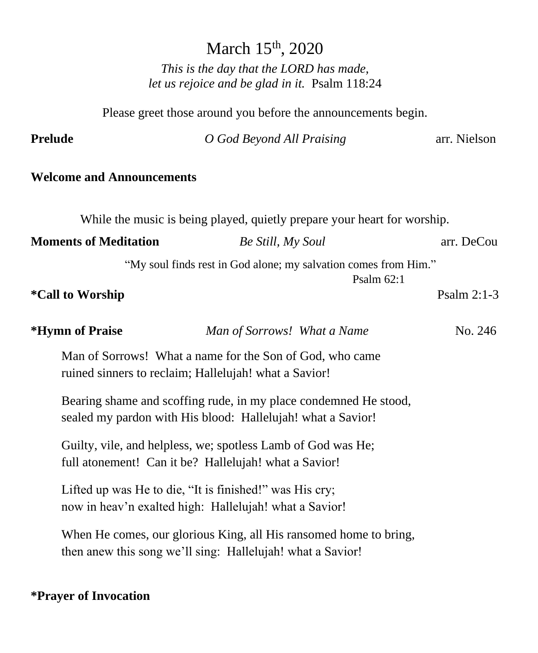# March 15<sup>th</sup>, 2020

*This is the day that the LORD has made, let us rejoice and be glad in it.* Psalm 118:24

|                                  | Please greet those around you before the announcements begin.                                                                   |              |
|----------------------------------|---------------------------------------------------------------------------------------------------------------------------------|--------------|
| <b>Prelude</b>                   | O God Beyond All Praising                                                                                                       | arr. Nielson |
| <b>Welcome and Announcements</b> |                                                                                                                                 |              |
|                                  | While the music is being played, quietly prepare your heart for worship.                                                        |              |
| <b>Moments of Meditation</b>     | Be Still, My Soul                                                                                                               | arr. DeCou   |
|                                  | "My soul finds rest in God alone; my salvation comes from Him."<br>Psalm 62:1                                                   |              |
| <i><b>*Call to Worship</b></i>   |                                                                                                                                 | Psalm 2:1-3  |
| *Hymn of Praise                  | Man of Sorrows! What a Name                                                                                                     | No. 246      |
|                                  | Man of Sorrows! What a name for the Son of God, who came<br>ruined sinners to reclaim; Hallelujah! what a Savior!               |              |
|                                  | Bearing shame and scoffing rude, in my place condemned He stood,<br>sealed my pardon with His blood: Hallelujah! what a Savior! |              |
|                                  | Guilty, vile, and helpless, we; spotless Lamb of God was He;<br>full atonement! Can it be? Hallelujah! what a Savior!           |              |
|                                  | Lifted up was He to die, "It is finished!" was His cry;<br>now in heav'n exalted high: Hallelujah! what a Savior!               |              |
|                                  | When He comes, our glorious King, all His ransomed home to bring,<br>then anew this song we'll sing: Hallelujah! what a Savior! |              |

### **\*Prayer of Invocation**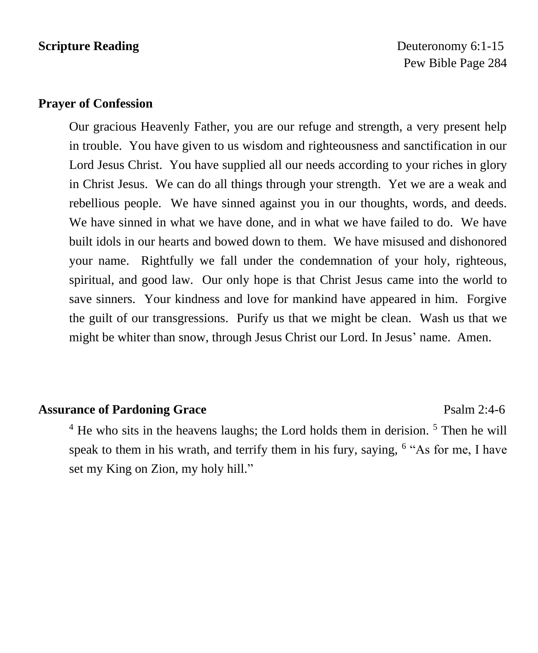### **Prayer of Confession**

Our gracious Heavenly Father, you are our refuge and strength, a very present help in trouble. You have given to us wisdom and righteousness and sanctification in our Lord Jesus Christ. You have supplied all our needs according to your riches in glory in Christ Jesus. We can do all things through your strength. Yet we are a weak and rebellious people. We have sinned against you in our thoughts, words, and deeds. We have sinned in what we have done, and in what we have failed to do. We have built idols in our hearts and bowed down to them. We have misused and dishonored your name. Rightfully we fall under the condemnation of your holy, righteous, spiritual, and good law. Our only hope is that Christ Jesus came into the world to save sinners. Your kindness and love for mankind have appeared in him. Forgive the guilt of our transgressions. Purify us that we might be clean. Wash us that we might be whiter than snow, through Jesus Christ our Lord. In Jesus' name. Amen.

### **Assurance of Pardoning Grace** Psalm 2:4-6

 $4$  He who sits in the heavens laughs; the Lord holds them in derision.  $5$  Then he will speak to them in his wrath, and terrify them in his fury, saying,  $6$  "As for me, I have set my King on Zion, my holy hill."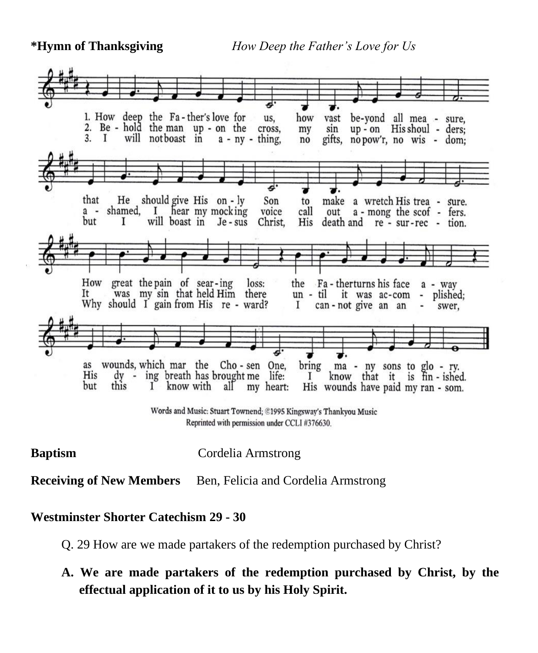**\*Hymn of Thanksgiving** *How Deep the Father's Love for Us*



**Baptism Cordelia Armstrong** 

**Receiving of New Members** Ben, Felicia and Cordelia Armstrong

### **Westminster Shorter Catechism 29 - 30**

Q. 29 How are we made partakers of the redemption purchased by Christ?

**A. We are made partakers of the redemption purchased by Christ, by the effectual application of it to us by his Holy Spirit.**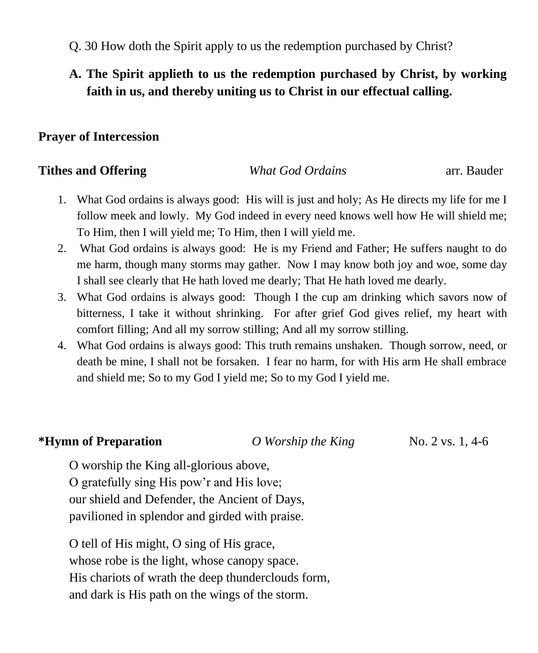Q. 30 How doth the Spirit apply to us the redemption purchased by Christ?

### **A. The Spirit applieth to us the redemption purchased by Christ, by working faith in us, and thereby uniting us to Christ in our effectual calling.**

### **Prayer of Intercession**

### **Tithes and Offering** *What God Ordains* arr. Bauder

- 1. What God ordains is always good: His will is just and holy; As He directs my life for me I follow meek and lowly. My God indeed in every need knows well how He will shield me; To Him, then I will yield me; To Him, then I will yield me.
- 2. What God ordains is always good: He is my Friend and Father; He suffers naught to do me harm, though many storms may gather. Now I may know both joy and woe, some day I shall see clearly that He hath loved me dearly; That He hath loved me dearly.
- 3. What God ordains is always good: Though I the cup am drinking which savors now of bitterness, I take it without shrinking. For after grief God gives relief, my heart with comfort filling; And all my sorrow stilling; And all my sorrow stilling.
- 4. What God ordains is always good: This truth remains unshaken. Though sorrow, need, or death be mine, I shall not be forsaken. I fear no harm, for with His arm He shall embrace and shield me; So to my God I yield me; So to my God I yield me.

### **\*Hymn of Preparation** *O Worship the King* No. 2 vs. 1, 4-6

O worship the King all-glorious above, O gratefully sing His pow'r and His love; our shield and Defender, the Ancient of Days, pavilioned in splendor and girded with praise.

O tell of His might, O sing of His grace, whose robe is the light, whose canopy space. His chariots of wrath the deep thunderclouds form, and dark is His path on the wings of the storm.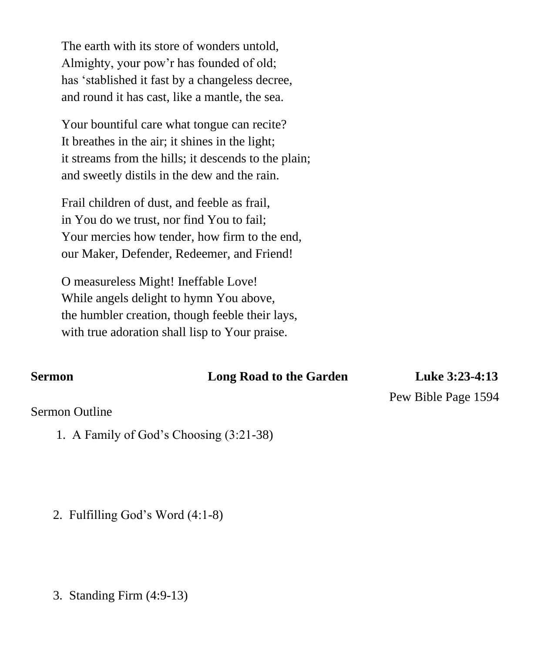The earth with its store of wonders untold, Almighty, your pow'r has founded of old; has 'stablished it fast by a changeless decree, and round it has cast, like a mantle, the sea.

Your bountiful care what tongue can recite? It breathes in the air; it shines in the light; it streams from the hills; it descends to the plain; and sweetly distils in the dew and the rain.

Frail children of dust, and feeble as frail, in You do we trust, nor find You to fail; Your mercies how tender, how firm to the end, our Maker, Defender, Redeemer, and Friend!

O measureless Might! Ineffable Love! While angels delight to hymn You above, the humbler creation, though feeble their lays, with true adoration shall lisp to Your praise.

### **Sermon Long Road to the Garden Luke 3:23-4:13**

Pew Bible Page 1594

Sermon Outline

1. A Family of God's Choosing (3:21-38)

2. Fulfilling God's Word (4:1-8)

3. Standing Firm (4:9-13)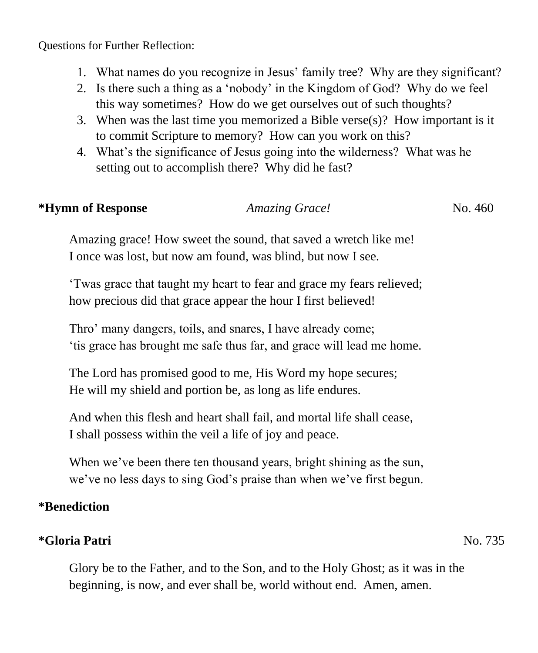Questions for Further Reflection:

- 1. What names do you recognize in Jesus' family tree? Why are they significant?
- 2. Is there such a thing as a 'nobody' in the Kingdom of God? Why do we feel this way sometimes? How do we get ourselves out of such thoughts?
- 3. When was the last time you memorized a Bible verse(s)? How important is it to commit Scripture to memory? How can you work on this?
- 4. What's the significance of Jesus going into the wilderness? What was he setting out to accomplish there? Why did he fast?

| *Hymn of Response | Amazing Grace! | No. 460 |
|-------------------|----------------|---------|
|-------------------|----------------|---------|

Amazing grace! How sweet the sound, that saved a wretch like me! I once was lost, but now am found, was blind, but now I see.

'Twas grace that taught my heart to fear and grace my fears relieved; how precious did that grace appear the hour I first believed!

Thro' many dangers, toils, and snares, I have already come; 'tis grace has brought me safe thus far, and grace will lead me home.

The Lord has promised good to me, His Word my hope secures; He will my shield and portion be, as long as life endures.

And when this flesh and heart shall fail, and mortal life shall cease, I shall possess within the veil a life of joy and peace.

When we've been there ten thousand years, bright shining as the sun, we've no less days to sing God's praise than when we've first begun.

### **\*Benediction**

### **\*Gloria Patri** No. 735

Glory be to the Father, and to the Son, and to the Holy Ghost; as it was in the beginning, is now, and ever shall be, world without end. Amen, amen.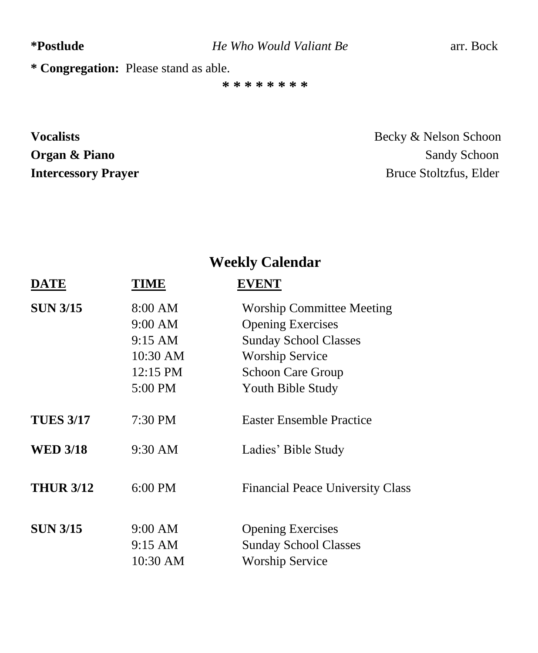**\*Postlude** *He Who Would Valiant Be* arr. Bock

**\* Congregation:** Please stand as able.

**\* \* \* \* \* \* \* \***

| <b>Vocalists</b>           |
|----------------------------|
| Organ & Piano              |
| <b>Intercessory Prayer</b> |

Becky & Nelson Schoon **Sandy Schoon Intervery Prayer** Bruce Stoltzfus, Elder

# **Weekly Calendar**

| <b>DATE</b>      | TIME               | <b>EVENT</b>                            |
|------------------|--------------------|-----------------------------------------|
| <b>SUN 3/15</b>  | 8:00 AM            | <b>Worship Committee Meeting</b>        |
|                  | 9:00 AM            | <b>Opening Exercises</b>                |
|                  | 9:15 AM            | <b>Sunday School Classes</b>            |
|                  | 10:30 AM           | <b>Worship Service</b>                  |
|                  | $12:15 \text{ PM}$ | <b>Schoon Care Group</b>                |
|                  | 5:00 PM            | Youth Bible Study                       |
| <b>TUES 3/17</b> | 7:30 PM            | <b>Easter Ensemble Practice</b>         |
| <b>WED 3/18</b>  | 9:30 AM            | Ladies' Bible Study                     |
| <b>THUR 3/12</b> | 6:00 PM            | <b>Financial Peace University Class</b> |
| <b>SUN 3/15</b>  | 9:00 AM            | <b>Opening Exercises</b>                |
|                  | 9:15 AM            | <b>Sunday School Classes</b>            |
|                  | 10:30 AM           | <b>Worship Service</b>                  |
|                  |                    |                                         |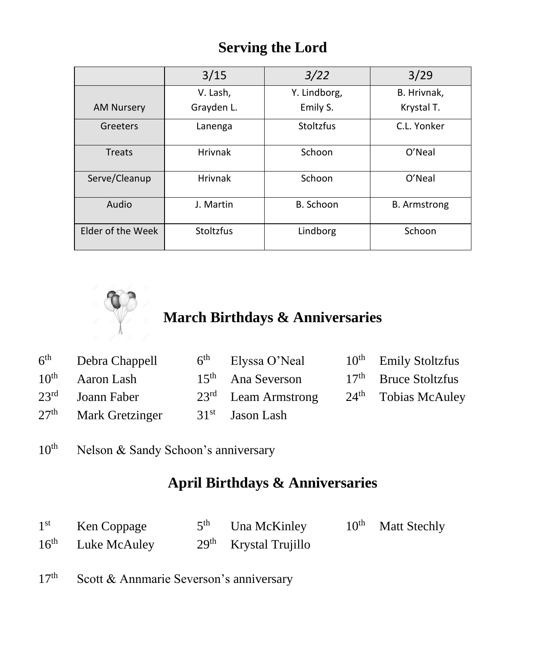## **Serving the Lord**

|                   | 3/15             | 3/22             | 3/29                |
|-------------------|------------------|------------------|---------------------|
|                   | V. Lash,         | Y. Lindborg,     | B. Hrivnak.         |
| <b>AM Nursery</b> | Grayden L.       | Emily S.         | Krystal T.          |
| Greeters          | Lanenga          | <b>Stoltzfus</b> | C.L. Yonker         |
| Treats            | <b>Hrivnak</b>   | Schoon           | O'Neal              |
| Serve/Cleanup     | <b>Hrivnak</b>   | Schoon           | O'Neal              |
| Audio             | J. Martin        | B. Schoon        | <b>B.</b> Armstrong |
| Elder of the Week | <b>Stoltzfus</b> | Lindborg         | Schoon              |



# **March Birthdays & Anniversaries**

| $6th$ Debra Chappell   | 6 <sup>th</sup> Elyssa O'Neal | $10th$ Emily Stoltzfus |
|------------------------|-------------------------------|------------------------|
| $10th$ Aaron Lash      | $15th$ Ana Severson           | $17th$ Bruce Stoltzfus |
| $23rd$ Joann Faber     | $23rd$ Leam Armstrong         | $24th$ Tobias McAuley  |
| $27th$ Mark Gretzinger | $31st$ Jason Lash             |                        |

10<sup>th</sup> Nelson & Sandy Schoon's anniversary

# **April Birthdays & Anniversaries**

| 1 <sup>st</sup>  | Ken Coppage  | $5^{\text{th}}$ | Una McKinley            | 10 <sup>th</sup> Matt Stechly |
|------------------|--------------|-----------------|-------------------------|-------------------------------|
| 16 <sup>th</sup> | Luke McAuley |                 | $29th$ Krystal Trujillo |                               |

 $17<sup>th</sup>$  Scott & Annmarie Severson's anniversary